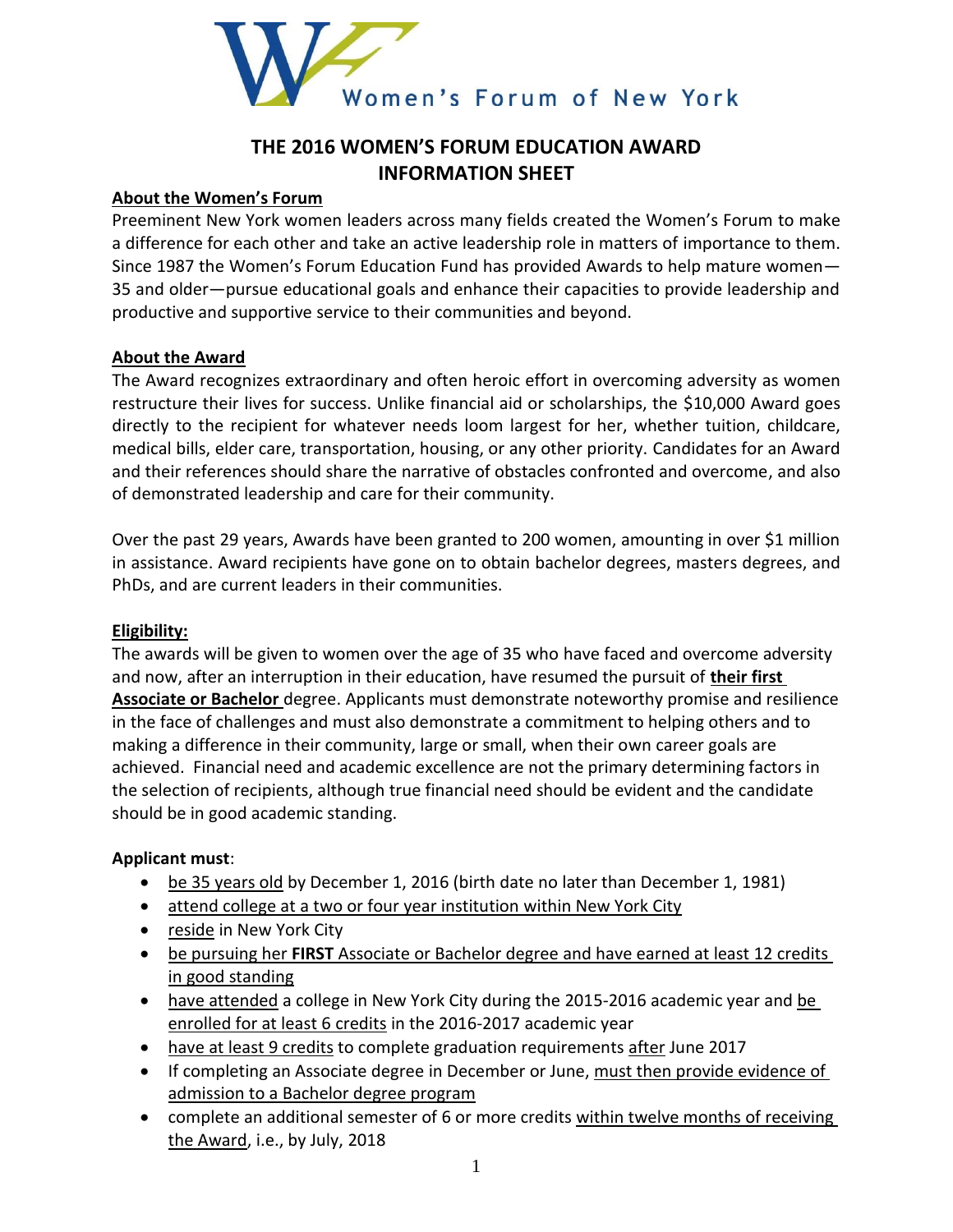

# **THE 2016 WOMEN'S FORUM EDUCATION AWARD INFORMATION SHEET**

#### **About the Women's Forum**

Preeminent New York women leaders across many fields created the Women's Forum to make a difference for each other and take an active leadership role in matters of importance to them. Since 1987 the Women's Forum Education Fund has provided Awards to help mature women— 35 and older—pursue educational goals and enhance their capacities to provide leadership and productive and supportive service to their communities and beyond.

#### **About the Award**

The Award recognizes extraordinary and often heroic effort in overcoming adversity as women restructure their lives for success. Unlike financial aid or scholarships, the \$10,000 Award goes directly to the recipient for whatever needs loom largest for her, whether tuition, childcare, medical bills, elder care, transportation, housing, or any other priority. Candidates for an Award and their references should share the narrative of obstacles confronted and overcome, and also of demonstrated leadership and care for their community.

Over the past 29 years, Awards have been granted to 200 women, amounting in over \$1 million in assistance. Award recipients have gone on to obtain bachelor degrees, masters degrees, and PhDs, and are current leaders in their communities.

#### **Eligibility:**

The awards will be given to women over the age of 35 who have faced and overcome adversity and now, after an interruption in their education, have resumed the pursuit of **their first Associate or Bachelor** degree. Applicants must demonstrate noteworthy promise and resilience in the face of challenges and must also demonstrate a commitment to helping others and to making a difference in their community, large or small, when their own career goals are achieved. Financial need and academic excellence are not the primary determining factors in the selection of recipients, although true financial need should be evident and the candidate should be in good academic standing.

## **Applicant must**:

- be 35 years old by December 1, 2016 (birth date no later than December 1, 1981)
- attend college at a two or four year institution within New York City
- reside in New York City
- be pursuing her **FIRST** Associate or Bachelor degree and have earned at least 12 credits in good standing
- have attended a college in New York City during the 2015-2016 academic year and be enrolled for at least 6 credits in the 2016-2017 academic year
- have at least 9 credits to complete graduation requirements after June 2017
- If completing an Associate degree in December or June, must then provide evidence of admission to a Bachelor degree program
- complete an additional semester of 6 or more credits within twelve months of receiving the Award, i.e., by July, 2018